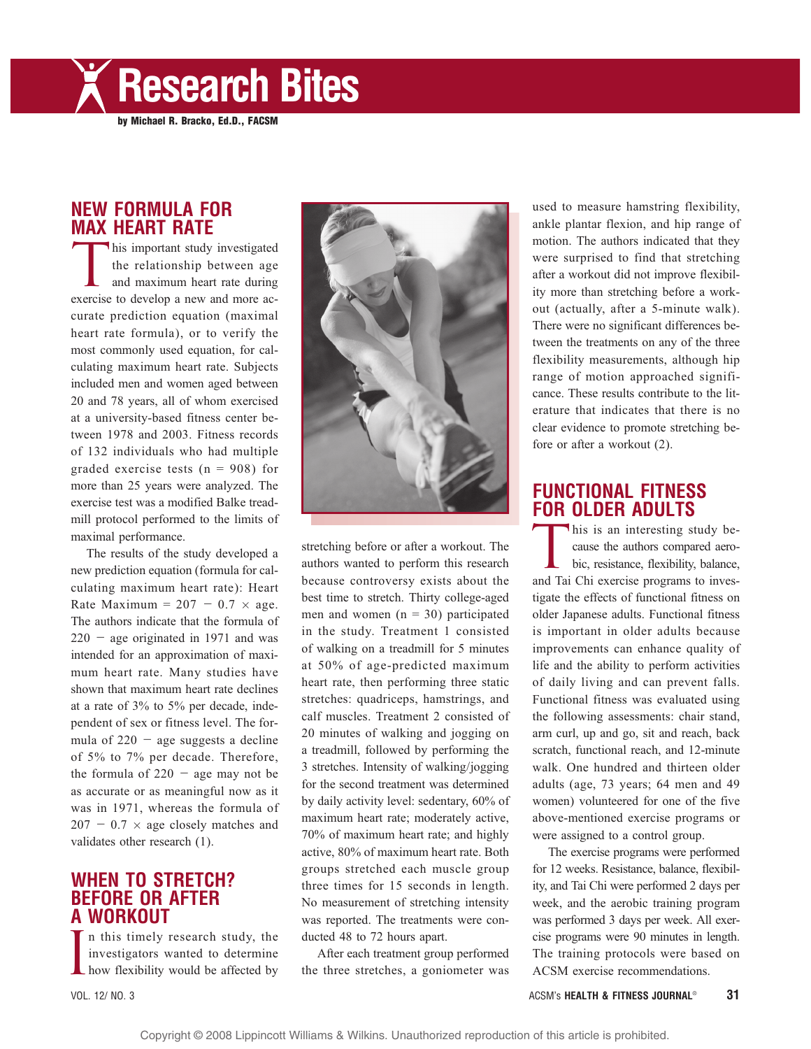Research Bites

by Michael R. Bracko, Ed.D., FACSM

## NEW FORMULA FOR MAX HEART RATE

 $\begin{bmatrix} 1 & 1 \\ 1 & 1 \end{bmatrix}$ his important study investigated the relationship between age and maximum heart rate during exercise to develop a new and more accurate prediction equation (maximal heart rate formula), or to verify the most commonly used equation, for calculating maximum heart rate. Subjects included men and women aged between 20 and 78 years, all of whom exercised at a university-based fitness center between 1978 and 2003. Fitness records of 132 individuals who had multiple graded exercise tests  $(n = 908)$  for more than 25 years were analyzed. The exercise test was a modified Balke treadmill protocol performed to the limits of maximal performance.

The results of the study developed a new prediction equation (formula for calculating maximum heart rate): Heart Rate Maximum =  $207 - 0.7 \times age$ . The authors indicate that the formula of  $220 -$  age originated in 1971 and was intended for an approximation of maximum heart rate. Many studies have shown that maximum heart rate declines at a rate of 3% to 5% per decade, independent of sex or fitness level. The formula of  $220 - age$  suggests a decline of 5% to 7% per decade. Therefore, the formula of  $220 - a$ ge may not be as accurate or as meaningful now as it was in 1971, whereas the formula of  $207 - 0.7 \times$  age closely matches and validates other research (1).

### WHEN TO STRETCH? BEFORE OR AFTER A WORKOUT

**A WUNNULI**<br>
In this timely research study, the<br>
investigators wanted to determine<br>
how flexibility would be affected by n this timely research study, the investigators wanted to determine



stretching before or after a workout. The authors wanted to perform this research because controversy exists about the best time to stretch. Thirty college-aged men and women  $(n = 30)$  participated in the study. Treatment 1 consisted of walking on a treadmill for 5 minutes at 50% of age-predicted maximum heart rate, then performing three static stretches: quadriceps, hamstrings, and calf muscles. Treatment 2 consisted of 20 minutes of walking and jogging on a treadmill, followed by performing the 3 stretches. Intensity of walking/jogging for the second treatment was determined by daily activity level: sedentary, 60% of maximum heart rate; moderately active, 70% of maximum heart rate; and highly active, 80% of maximum heart rate. Both groups stretched each muscle group three times for 15 seconds in length. No measurement of stretching intensity was reported. The treatments were conducted 48 to 72 hours apart.

After each treatment group performed the three stretches, a goniometer was used to measure hamstring flexibility, ankle plantar flexion, and hip range of motion. The authors indicated that they were surprised to find that stretching after a workout did not improve flexibility more than stretching before a workout (actually, after a 5-minute walk). There were no significant differences between the treatments on any of the three flexibility measurements, although hip range of motion approached significance. These results contribute to the literature that indicates that there is no clear evidence to promote stretching before or after a workout (2).

## FUNCTIONAL FITNESS FOR OLDER ADULTS

TUR ULUEN ADULIO<br>his is an interesting study be-<br>cause the authors compared aero-<br>bic, resistance, flexibility, balance, his is an interesting study because the authors compared aeroand Tai Chi exercise programs to investigate the effects of functional fitness on older Japanese adults. Functional fitness is important in older adults because improvements can enhance quality of life and the ability to perform activities of daily living and can prevent falls. Functional fitness was evaluated using the following assessments: chair stand, arm curl, up and go, sit and reach, back scratch, functional reach, and 12-minute walk. One hundred and thirteen older adults (age, 73 years; 64 men and 49 women) volunteered for one of the five above-mentioned exercise programs or were assigned to a control group.

The exercise programs were performed for 12 weeks. Resistance, balance, flexibility, and Tai Chi were performed 2 days per week, and the aerobic training program was performed 3 days per week. All exercise programs were 90 minutes in length. The training protocols were based on ACSM exercise recommendations.